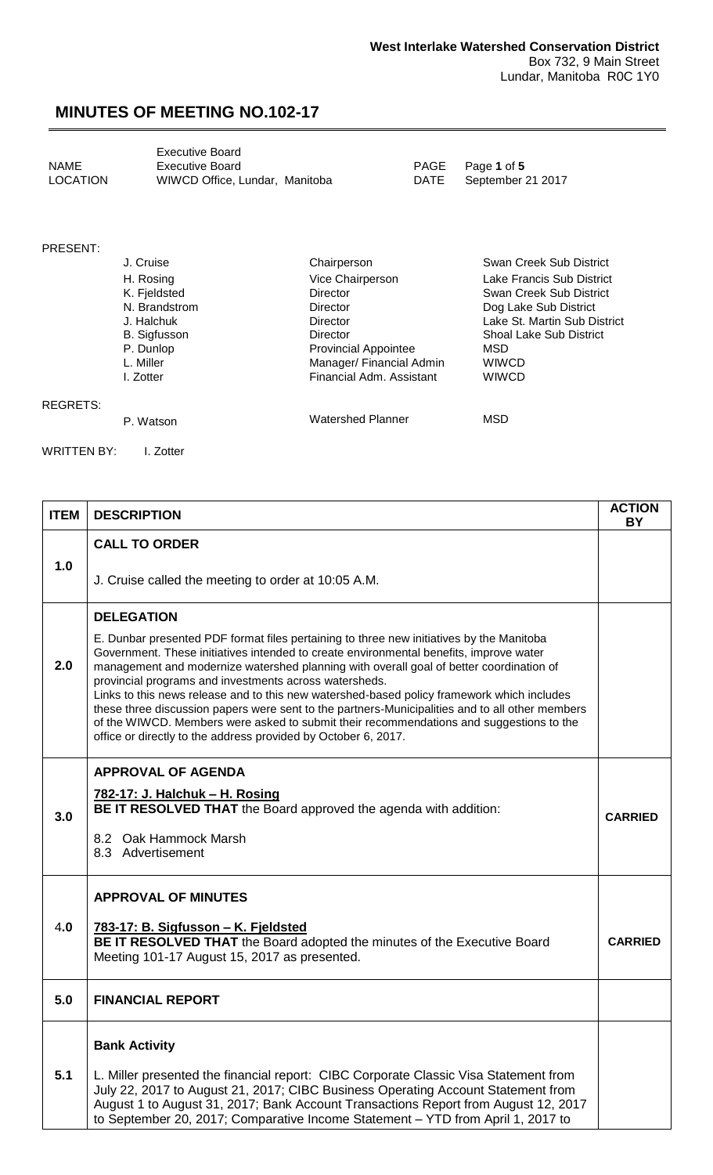<span id="page-0-0"></span>

|          | <b>Executive Board</b>         |
|----------|--------------------------------|
| NAME     | <b>Executive Board</b>         |
| LOCATION | WIWCD Office, Lundar, Manitoba |

PAGE Page 1 of 5<br>DATE September 2

September 21 2017

### PRESENT:

| J. Cruise           | Chairperson                 | Swan Creek Sub District        |
|---------------------|-----------------------------|--------------------------------|
| H. Rosing           | Vice Chairperson            | Lake Francis Sub District      |
| K. Fjeldsted        | <b>Director</b>             | Swan Creek Sub District        |
| N. Brandstrom       | <b>Director</b>             | Dog Lake Sub District          |
| J. Halchuk          | Director                    | Lake St. Martin Sub District   |
| <b>B.</b> Sigfusson | Director                    | <b>Shoal Lake Sub District</b> |
| P. Dunlop           | <b>Provincial Appointee</b> | MSD                            |
| L. Miller           | Manager/ Financial Admin    | WIWCD                          |
| I. Zotter           | Financial Adm. Assistant    | <b>WIWCD</b>                   |
|                     |                             |                                |
|                     |                             |                                |

#### REGRETS:

P. Watson MSD Watershed Planner MSD

WRITTEN BY: I. Zotter

| <b>ITEM</b> | <b>DESCRIPTION</b>                                                                                                                                                                                                                                                                                                                                                                                                                                                                                                                                                                                                                                                                                    | <b>ACTION</b><br><b>BY</b> |
|-------------|-------------------------------------------------------------------------------------------------------------------------------------------------------------------------------------------------------------------------------------------------------------------------------------------------------------------------------------------------------------------------------------------------------------------------------------------------------------------------------------------------------------------------------------------------------------------------------------------------------------------------------------------------------------------------------------------------------|----------------------------|
|             | <b>CALL TO ORDER</b>                                                                                                                                                                                                                                                                                                                                                                                                                                                                                                                                                                                                                                                                                  |                            |
| 1.0         | J. Cruise called the meeting to order at 10:05 A.M.                                                                                                                                                                                                                                                                                                                                                                                                                                                                                                                                                                                                                                                   |                            |
|             | <b>DELEGATION</b>                                                                                                                                                                                                                                                                                                                                                                                                                                                                                                                                                                                                                                                                                     |                            |
| 2.0         | E. Dunbar presented PDF format files pertaining to three new initiatives by the Manitoba<br>Government. These initiatives intended to create environmental benefits, improve water<br>management and modernize watershed planning with overall goal of better coordination of<br>provincial programs and investments across watersheds.<br>Links to this news release and to this new watershed-based policy framework which includes<br>these three discussion papers were sent to the partners-Municipalities and to all other members<br>of the WIWCD. Members were asked to submit their recommendations and suggestions to the<br>office or directly to the address provided by October 6, 2017. |                            |
|             | <b>APPROVAL OF AGENDA</b>                                                                                                                                                                                                                                                                                                                                                                                                                                                                                                                                                                                                                                                                             |                            |
| 3.0         | 782-17: J. Halchuk - H. Rosing<br>BE IT RESOLVED THAT the Board approved the agenda with addition:                                                                                                                                                                                                                                                                                                                                                                                                                                                                                                                                                                                                    | <b>CARRIED</b>             |
|             | 8.2 Oak Hammock Marsh<br>8.3 Advertisement                                                                                                                                                                                                                                                                                                                                                                                                                                                                                                                                                                                                                                                            |                            |
|             | <b>APPROVAL OF MINUTES</b>                                                                                                                                                                                                                                                                                                                                                                                                                                                                                                                                                                                                                                                                            |                            |
| 4.0         | 783-17: B. Sigfusson - K. Fjeldsted<br>BE IT RESOLVED THAT the Board adopted the minutes of the Executive Board<br>Meeting 101-17 August 15, 2017 as presented.                                                                                                                                                                                                                                                                                                                                                                                                                                                                                                                                       | <b>CARRIED</b>             |
| 5.0         | <b>FINANCIAL REPORT</b>                                                                                                                                                                                                                                                                                                                                                                                                                                                                                                                                                                                                                                                                               |                            |
|             | <b>Bank Activity</b>                                                                                                                                                                                                                                                                                                                                                                                                                                                                                                                                                                                                                                                                                  |                            |
| 5.1         | L. Miller presented the financial report: CIBC Corporate Classic Visa Statement from<br>July 22, 2017 to August 21, 2017; CIBC Business Operating Account Statement from<br>August 1 to August 31, 2017; Bank Account Transactions Report from August 12, 2017<br>to September 20, 2017; Comparative Income Statement - YTD from April 1, 2017 to                                                                                                                                                                                                                                                                                                                                                     |                            |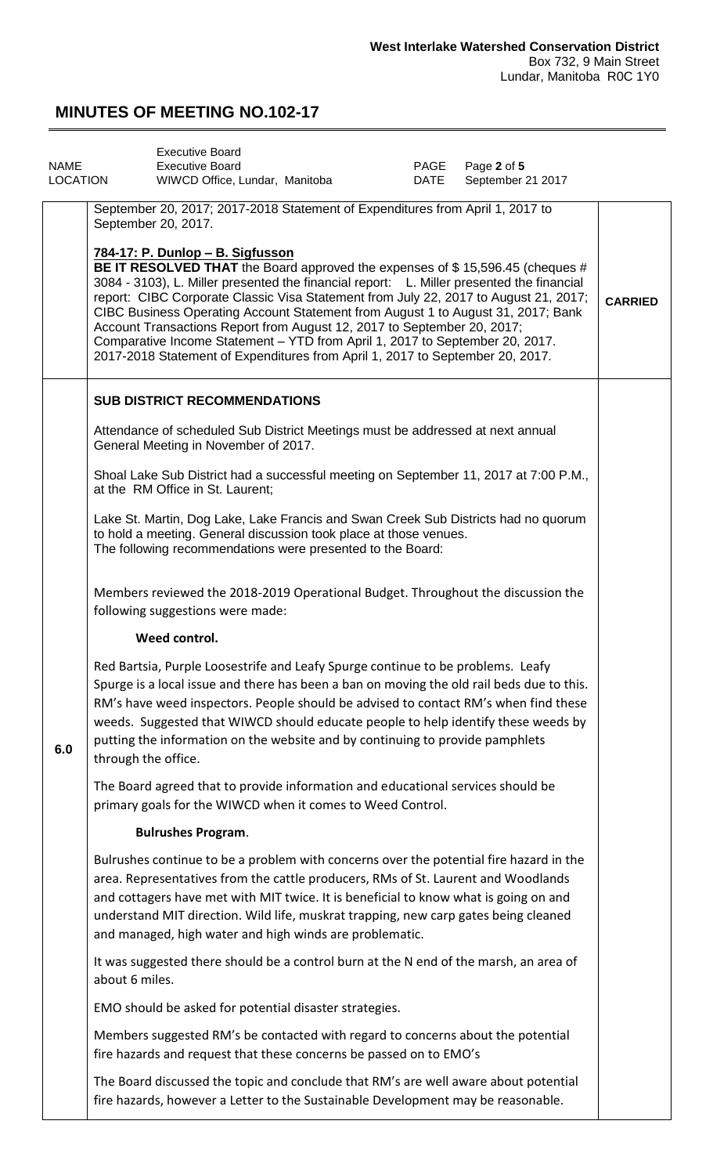<span id="page-1-0"></span>

| <b>NAME</b><br><b>LOCATION</b> |                           | <b>Executive Board</b><br><b>Executive Board</b><br>WIWCD Office, Lundar, Manitoba                                                                                                                                                                                                                                                                                                                                                                                                                                                                                    |  | PAGE<br>DATE | Page 2 of 5<br>September 21 2017                                                                                                                                                                                                                                      |                |
|--------------------------------|---------------------------|-----------------------------------------------------------------------------------------------------------------------------------------------------------------------------------------------------------------------------------------------------------------------------------------------------------------------------------------------------------------------------------------------------------------------------------------------------------------------------------------------------------------------------------------------------------------------|--|--------------|-----------------------------------------------------------------------------------------------------------------------------------------------------------------------------------------------------------------------------------------------------------------------|----------------|
|                                |                           | September 20, 2017; 2017-2018 Statement of Expenditures from April 1, 2017 to<br>September 20, 2017.<br>784-17: P. Dunlop - B. Sigfusson<br>3084 - 3103), L. Miller presented the financial report: L. Miller presented the financial<br>CIBC Business Operating Account Statement from August 1 to August 31, 2017; Bank<br>Account Transactions Report from August 12, 2017 to September 20, 2017;<br>Comparative Income Statement - YTD from April 1, 2017 to September 20, 2017.<br>2017-2018 Statement of Expenditures from April 1, 2017 to September 20, 2017. |  |              | BE IT RESOLVED THAT the Board approved the expenses of \$15,596.45 (cheques #<br>report: CIBC Corporate Classic Visa Statement from July 22, 2017 to August 21, 2017;                                                                                                 | <b>CARRIED</b> |
|                                |                           | <b>SUB DISTRICT RECOMMENDATIONS</b><br>Attendance of scheduled Sub District Meetings must be addressed at next annual<br>General Meeting in November of 2017.<br>at the RM Office in St. Laurent;                                                                                                                                                                                                                                                                                                                                                                     |  |              | Shoal Lake Sub District had a successful meeting on September 11, 2017 at 7:00 P.M.,                                                                                                                                                                                  |                |
|                                |                           | Lake St. Martin, Dog Lake, Lake Francis and Swan Creek Sub Districts had no quorum<br>to hold a meeting. General discussion took place at those venues.<br>The following recommendations were presented to the Board:<br>Members reviewed the 2018-2019 Operational Budget. Throughout the discussion the                                                                                                                                                                                                                                                             |  |              |                                                                                                                                                                                                                                                                       |                |
|                                |                           | following suggestions were made:<br>Weed control.                                                                                                                                                                                                                                                                                                                                                                                                                                                                                                                     |  |              |                                                                                                                                                                                                                                                                       |                |
| 6.0                            | through the office.       | Red Bartsia, Purple Loosestrife and Leafy Spurge continue to be problems. Leafy<br>putting the information on the website and by continuing to provide pamphlets                                                                                                                                                                                                                                                                                                                                                                                                      |  |              | Spurge is a local issue and there has been a ban on moving the old rail beds due to this.<br>RM's have weed inspectors. People should be advised to contact RM's when find these<br>weeds. Suggested that WIWCD should educate people to help identify these weeds by |                |
|                                |                           | The Board agreed that to provide information and educational services should be<br>primary goals for the WIWCD when it comes to Weed Control.                                                                                                                                                                                                                                                                                                                                                                                                                         |  |              |                                                                                                                                                                                                                                                                       |                |
|                                | <b>Bulrushes Program.</b> |                                                                                                                                                                                                                                                                                                                                                                                                                                                                                                                                                                       |  |              |                                                                                                                                                                                                                                                                       |                |
|                                |                           | Bulrushes continue to be a problem with concerns over the potential fire hazard in the<br>area. Representatives from the cattle producers, RMs of St. Laurent and Woodlands<br>and cottagers have met with MIT twice. It is beneficial to know what is going on and<br>understand MIT direction. Wild life, muskrat trapping, new carp gates being cleaned<br>and managed, high water and high winds are problematic.                                                                                                                                                 |  |              |                                                                                                                                                                                                                                                                       |                |
|                                | about 6 miles.            | It was suggested there should be a control burn at the N end of the marsh, an area of                                                                                                                                                                                                                                                                                                                                                                                                                                                                                 |  |              |                                                                                                                                                                                                                                                                       |                |
|                                |                           | EMO should be asked for potential disaster strategies.                                                                                                                                                                                                                                                                                                                                                                                                                                                                                                                |  |              |                                                                                                                                                                                                                                                                       |                |
|                                |                           | Members suggested RM's be contacted with regard to concerns about the potential<br>fire hazards and request that these concerns be passed on to EMO's                                                                                                                                                                                                                                                                                                                                                                                                                 |  |              |                                                                                                                                                                                                                                                                       |                |
|                                |                           | The Board discussed the topic and conclude that RM's are well aware about potential<br>fire hazards, however a Letter to the Sustainable Development may be reasonable.                                                                                                                                                                                                                                                                                                                                                                                               |  |              |                                                                                                                                                                                                                                                                       |                |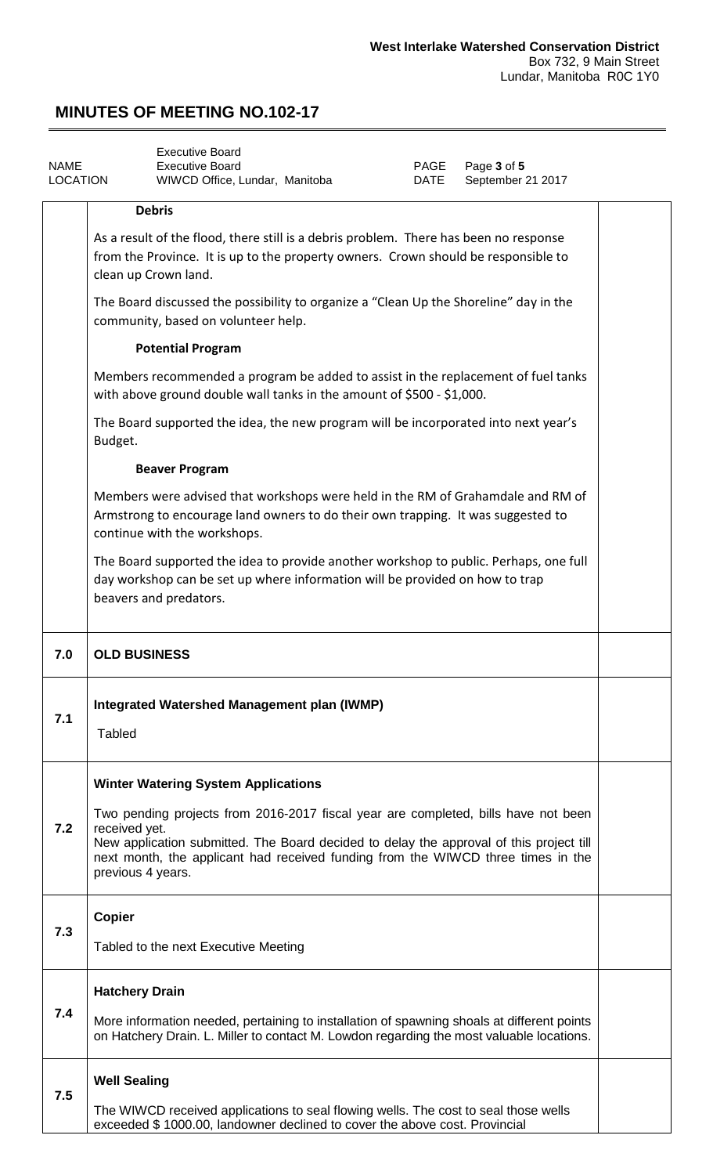<span id="page-2-0"></span>

| <b>NAME</b><br><b>LOCATION</b> |                                                                                                                              | <b>Executive Board</b><br><b>Executive Board</b><br>WIWCD Office, Lundar, Manitoba                                                                                                                                                                                |  | PAGE<br>DATE | Page 3 of 5<br>September 21 2017 |  |
|--------------------------------|------------------------------------------------------------------------------------------------------------------------------|-------------------------------------------------------------------------------------------------------------------------------------------------------------------------------------------------------------------------------------------------------------------|--|--------------|----------------------------------|--|
|                                |                                                                                                                              | <b>Debris</b>                                                                                                                                                                                                                                                     |  |              |                                  |  |
|                                |                                                                                                                              | As a result of the flood, there still is a debris problem. There has been no response<br>from the Province. It is up to the property owners. Crown should be responsible to<br>clean up Crown land.                                                               |  |              |                                  |  |
|                                | The Board discussed the possibility to organize a "Clean Up the Shoreline" day in the<br>community, based on volunteer help. |                                                                                                                                                                                                                                                                   |  |              |                                  |  |
|                                |                                                                                                                              | <b>Potential Program</b>                                                                                                                                                                                                                                          |  |              |                                  |  |
|                                |                                                                                                                              | Members recommended a program be added to assist in the replacement of fuel tanks<br>with above ground double wall tanks in the amount of \$500 - \$1,000.                                                                                                        |  |              |                                  |  |
|                                | Budget.                                                                                                                      | The Board supported the idea, the new program will be incorporated into next year's                                                                                                                                                                               |  |              |                                  |  |
|                                |                                                                                                                              | <b>Beaver Program</b>                                                                                                                                                                                                                                             |  |              |                                  |  |
|                                |                                                                                                                              | Members were advised that workshops were held in the RM of Grahamdale and RM of<br>Armstrong to encourage land owners to do their own trapping. It was suggested to<br>continue with the workshops.                                                               |  |              |                                  |  |
|                                |                                                                                                                              | The Board supported the idea to provide another workshop to public. Perhaps, one full<br>day workshop can be set up where information will be provided on how to trap<br>beavers and predators.                                                                   |  |              |                                  |  |
|                                |                                                                                                                              |                                                                                                                                                                                                                                                                   |  |              |                                  |  |
| 7.0                            | <b>OLD BUSINESS</b>                                                                                                          |                                                                                                                                                                                                                                                                   |  |              |                                  |  |
| 7.1                            | Tabled                                                                                                                       | Integrated Watershed Management plan (IWMP)                                                                                                                                                                                                                       |  |              |                                  |  |
|                                |                                                                                                                              | <b>Winter Watering System Applications</b>                                                                                                                                                                                                                        |  |              |                                  |  |
| 7.2                            | received yet.<br>previous 4 years.                                                                                           | Two pending projects from 2016-2017 fiscal year are completed, bills have not been<br>New application submitted. The Board decided to delay the approval of this project till<br>next month, the applicant had received funding from the WIWCD three times in the |  |              |                                  |  |
|                                |                                                                                                                              |                                                                                                                                                                                                                                                                   |  |              |                                  |  |
| 7.3                            | <b>Copier</b>                                                                                                                | Tabled to the next Executive Meeting                                                                                                                                                                                                                              |  |              |                                  |  |
|                                | <b>Hatchery Drain</b>                                                                                                        |                                                                                                                                                                                                                                                                   |  |              |                                  |  |
| 7.4                            |                                                                                                                              | More information needed, pertaining to installation of spawning shoals at different points<br>on Hatchery Drain. L. Miller to contact M. Lowdon regarding the most valuable locations.                                                                            |  |              |                                  |  |
| 7.5                            | <b>Well Sealing</b>                                                                                                          |                                                                                                                                                                                                                                                                   |  |              |                                  |  |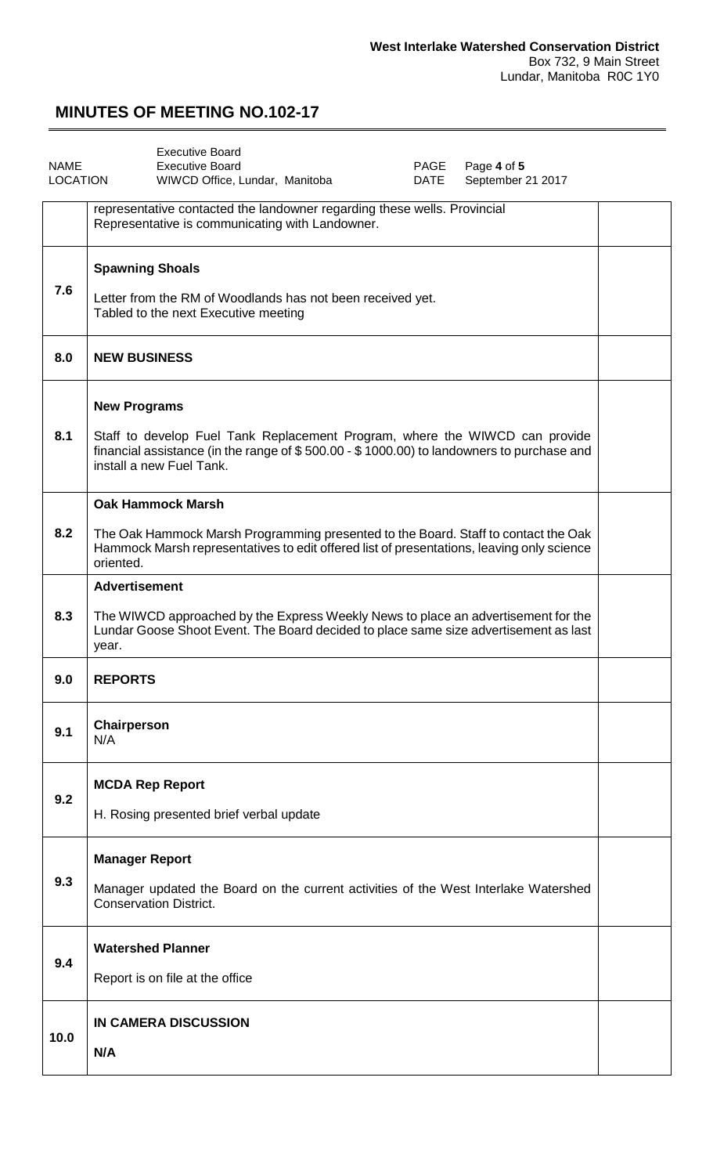<span id="page-3-0"></span>

| <b>NAME</b><br><b>LOCATION</b> | <b>Executive Board</b><br><b>Executive Board</b><br>PAGE<br>Page 4 of 5<br>WIWCD Office, Lundar, Manitoba<br>September 21 2017<br>DATE                                                                                      |  |
|--------------------------------|-----------------------------------------------------------------------------------------------------------------------------------------------------------------------------------------------------------------------------|--|
|                                | representative contacted the landowner regarding these wells. Provincial<br>Representative is communicating with Landowner.                                                                                                 |  |
| 7.6                            | <b>Spawning Shoals</b><br>Letter from the RM of Woodlands has not been received yet.<br>Tabled to the next Executive meeting                                                                                                |  |
| 8.0                            | <b>NEW BUSINESS</b>                                                                                                                                                                                                         |  |
| 8.1                            | <b>New Programs</b><br>Staff to develop Fuel Tank Replacement Program, where the WIWCD can provide<br>financial assistance (in the range of \$500.00 - \$1000.00) to landowners to purchase and<br>install a new Fuel Tank. |  |
| 8.2                            | <b>Oak Hammock Marsh</b><br>The Oak Hammock Marsh Programming presented to the Board. Staff to contact the Oak<br>Hammock Marsh representatives to edit offered list of presentations, leaving only science<br>oriented.    |  |
| 8.3                            | <b>Advertisement</b><br>The WIWCD approached by the Express Weekly News to place an advertisement for the<br>Lundar Goose Shoot Event. The Board decided to place same size advertisement as last<br>year.                  |  |
| 9.0                            | <b>REPORTS</b>                                                                                                                                                                                                              |  |
| 9.1                            | Chairperson<br>N/A                                                                                                                                                                                                          |  |
| 9.2                            | <b>MCDA Rep Report</b><br>H. Rosing presented brief verbal update                                                                                                                                                           |  |
| 9.3                            | <b>Manager Report</b><br>Manager updated the Board on the current activities of the West Interlake Watershed<br><b>Conservation District.</b>                                                                               |  |
| 9.4                            | <b>Watershed Planner</b><br>Report is on file at the office                                                                                                                                                                 |  |
| 10.0                           | <b>IN CAMERA DISCUSSION</b><br>N/A                                                                                                                                                                                          |  |